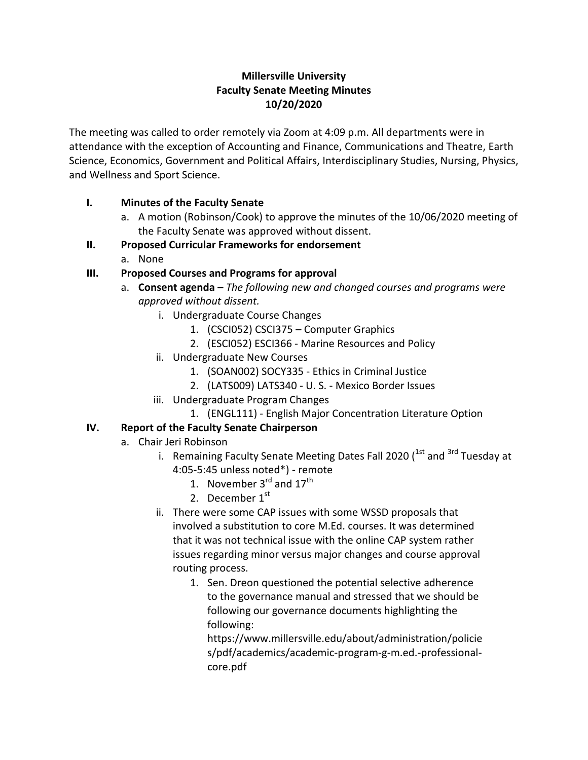## **Millersville University Faculty Senate Meeting Minutes 10/20/2020**

The meeting was called to order remotely via Zoom at 4:09 p.m. All departments were in attendance with the exception of Accounting and Finance, Communications and Theatre, Earth Science, Economics, Government and Political Affairs, Interdisciplinary Studies, Nursing, Physics, and Wellness and Sport Science.

# **I. Minutes of the Faculty Senate**

a. A motion (Robinson/Cook) to approve the minutes of the 10/06/2020 meeting of the Faculty Senate was approved without dissent.

### **II. Proposed Curricular Frameworks for endorsement**

a. None

# **III. Proposed Courses and Programs for approval**

- a. **Consent agenda –** *The following new and changed courses and programs were approved without dissent.*
	- i. Undergraduate Course Changes
		- 1. (CSCI052) CSCI375 Computer Graphics
		- 2. (ESCI052) ESCI366 Marine Resources and Policy
	- ii. Undergraduate New Courses
		- 1. (SOAN002) SOCY335 Ethics in Criminal Justice
		- 2. (LATS009) LATS340 U. S. Mexico Border Issues
	- iii. Undergraduate Program Changes
		- 1. (ENGL111) English Major Concentration Literature Option

# **IV. Report of the Faculty Senate Chairperson**

- a. Chair Jeri Robinson
	- i. Remaining Faculty Senate Meeting Dates Fall 2020 ( $1st$  and  $3rd$  Tuesday at 4:05-5:45 unless noted\*) - remote
		- 1. November  $3<sup>rd</sup>$  and  $17<sup>th</sup>$
		- 2. December  $1<sup>st</sup>$
	- ii. There were some CAP issues with some WSSD proposals that involved a substitution to core M.Ed. courses. It was determined that it was not technical issue with the online CAP system rather issues regarding minor versus major changes and course approval routing process.
		- 1. Sen. Dreon questioned the potential selective adherence to the governance manual and stressed that we should be following our governance documents highlighting the following:

https://www.millersville.edu/about/administration/policie s/pdf/academics/academic-program-g-m.ed.-professionalcore.pdf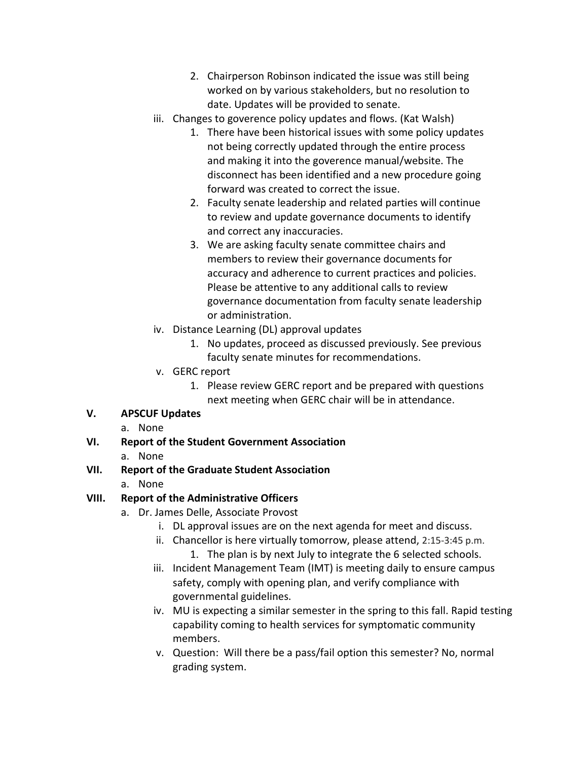- 2. Chairperson Robinson indicated the issue was still being worked on by various stakeholders, but no resolution to date. Updates will be provided to senate.
- iii. Changes to goverence policy updates and flows. (Kat Walsh)
	- 1. There have been historical issues with some policy updates not being correctly updated through the entire process and making it into the goverence manual/website. The disconnect has been identified and a new procedure going forward was created to correct the issue.
	- 2. Faculty senate leadership and related parties will continue to review and update governance documents to identify and correct any inaccuracies.
	- 3. We are asking faculty senate committee chairs and members to review their governance documents for accuracy and adherence to current practices and policies. Please be attentive to any additional calls to review governance documentation from faculty senate leadership or administration.
- iv. Distance Learning (DL) approval updates
	- 1. No updates, proceed as discussed previously. See previous faculty senate minutes for recommendations.
- v. GERC report
	- 1. Please review GERC report and be prepared with questions next meeting when GERC chair will be in attendance.

# **V. APSCUF Updates**

- a. None
- **VI. Report of the Student Government Association**
	- a. None
- **VII. Report of the Graduate Student Association**
	- a. None

# **VIII. Report of the Administrative Officers**

- a. Dr. James Delle, Associate Provost
	- i. DL approval issues are on the next agenda for meet and discuss.
	- ii. Chancellor is here virtually tomorrow, please attend, 2:15-3:45 p.m. 1. The plan is by next July to integrate the 6 selected schools.
	- iii. Incident Management Team (IMT) is meeting daily to ensure campus safety, comply with opening plan, and verify compliance with governmental guidelines.
	- iv. MU is expecting a similar semester in the spring to this fall. Rapid testing capability coming to health services for symptomatic community members.
	- v. Question: Will there be a pass/fail option this semester? No, normal grading system.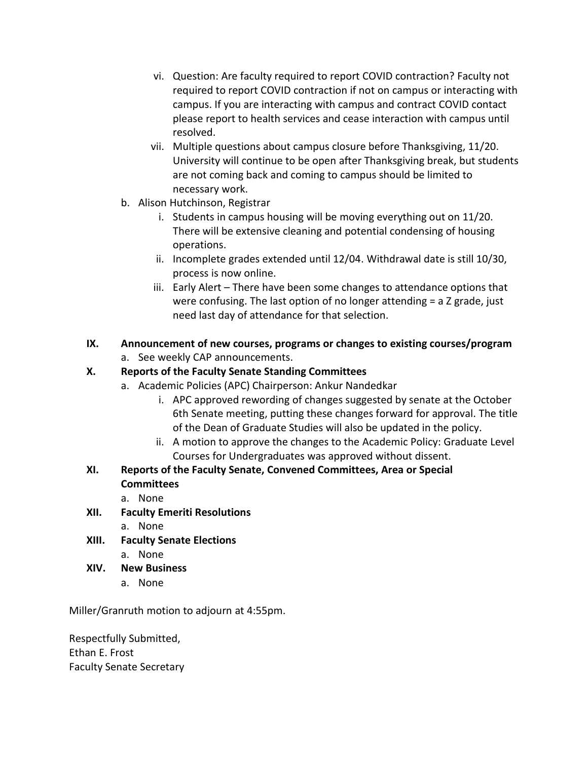- vi. Question: Are faculty required to report COVID contraction? Faculty not required to report COVID contraction if not on campus or interacting with campus. If you are interacting with campus and contract COVID contact please report to health services and cease interaction with campus until resolved.
- vii. Multiple questions about campus closure before Thanksgiving, 11/20. University will continue to be open after Thanksgiving break, but students are not coming back and coming to campus should be limited to necessary work.
- b. Alison Hutchinson, Registrar
	- i. Students in campus housing will be moving everything out on 11/20. There will be extensive cleaning and potential condensing of housing operations.
	- ii. Incomplete grades extended until 12/04. Withdrawal date is still 10/30, process is now online.
	- iii. Early Alert There have been some changes to attendance options that were confusing. The last option of no longer attending = a Z grade, just need last day of attendance for that selection.

# **IX. Announcement of new courses, programs or changes to existing courses/program**

a. See weekly CAP announcements.

## **X. Reports of the Faculty Senate Standing Committees**

- a. Academic Policies (APC) Chairperson: Ankur Nandedkar
	- i. APC approved rewording of changes suggested by senate at the October 6th Senate meeting, putting these changes forward for approval. The title of the Dean of Graduate Studies will also be updated in the policy.
	- ii. A motion to approve the changes to the Academic Policy: Graduate Level Courses for Undergraduates was approved without dissent.
- **XI. Reports of the Faculty Senate, Convened Committees, Area or Special Committees**
	- a. None
- **XII. Faculty Emeriti Resolutions**
	- a. None
- **XIII. Faculty Senate Elections**
	- a. None
- **XIV. New Business**
	- a. None

Miller/Granruth motion to adjourn at 4:55pm.

Respectfully Submitted, Ethan E. Frost Faculty Senate Secretary